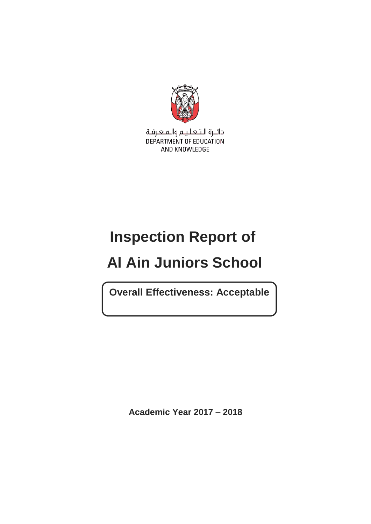

دائـرة الـتـعـلـيـم والـمـعـرفـة DEPARTMENT OF EDUCATION AND KNOWLEDGE

# **Inspection Report of**

# **Al Ain Juniors School**

**Overall Effectiveness: Acceptable**

**Academic Year 2017 – 2018**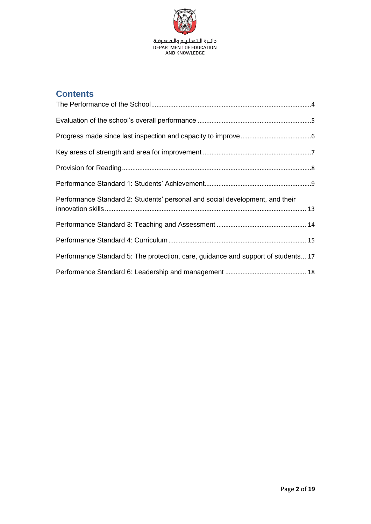

## **Contents**

| Performance Standard 2: Students' personal and social development, and their      |
|-----------------------------------------------------------------------------------|
|                                                                                   |
|                                                                                   |
| Performance Standard 5: The protection, care, guidance and support of students 17 |
|                                                                                   |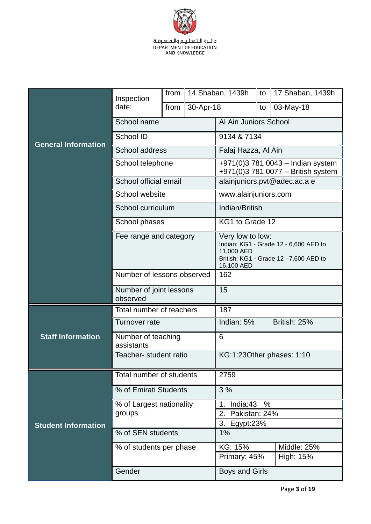

|                            | Inspection                          | from |                                                                                                                               | 14 Shaban, 1439h                                                        | to | 17 Shaban, 1439h |
|----------------------------|-------------------------------------|------|-------------------------------------------------------------------------------------------------------------------------------|-------------------------------------------------------------------------|----|------------------|
|                            | date:                               | from | 30-Apr-18                                                                                                                     |                                                                         | to | 03-May-18        |
|                            | School name                         |      |                                                                                                                               | Al Ain Juniors School                                                   |    |                  |
| <b>General Information</b> | School ID                           |      |                                                                                                                               | 9134 & 7134                                                             |    |                  |
|                            | School address                      |      |                                                                                                                               | Falaj Hazza, Al Ain                                                     |    |                  |
|                            | School telephone                    |      |                                                                                                                               | +971(0)3 781 0043 - Indian system<br>+971(0)3 781 0077 - British system |    |                  |
|                            | School official email               |      |                                                                                                                               | alainjuniors.pvt@adec.ac.a e                                            |    |                  |
|                            | School website                      |      |                                                                                                                               | www.alainjuniors.com                                                    |    |                  |
|                            | School curriculum                   |      |                                                                                                                               | Indian/British                                                          |    |                  |
|                            | School phases                       |      |                                                                                                                               | KG1 to Grade 12                                                         |    |                  |
|                            | Fee range and category              |      | Very low to low:<br>Indian: KG1 - Grade 12 - 6,600 AED to<br>11,000 AED<br>British: KG1 - Grade 12-7,600 AED to<br>16,100 AED |                                                                         |    |                  |
|                            | Number of lessons observed          |      |                                                                                                                               | 162                                                                     |    |                  |
|                            | Number of joint lessons<br>observed |      |                                                                                                                               | 15                                                                      |    |                  |
|                            | Total number of teachers            |      |                                                                                                                               | 187                                                                     |    |                  |
|                            | Turnover rate                       |      |                                                                                                                               | Indian: 5%                                                              |    | British: 25%     |
| <b>Staff Information</b>   | Number of teaching<br>assistants    |      |                                                                                                                               | 6                                                                       |    |                  |
|                            | Teacher- student ratio              |      |                                                                                                                               | KG:1:23Other phases: 1:10                                               |    |                  |
| Total number of students   |                                     |      | 2759                                                                                                                          |                                                                         |    |                  |
|                            | % of Emirati Students               |      |                                                                                                                               | 3%                                                                      |    |                  |
|                            | % of Largest nationality<br>groups  |      |                                                                                                                               | India:43<br>$\%$<br>1.                                                  |    |                  |
| <b>Student Information</b> |                                     |      |                                                                                                                               | Pakistan: 24%<br>2.<br>3.<br>Egypt: $23%$                               |    |                  |
|                            | % of SEN students                   |      |                                                                                                                               | 1%                                                                      |    |                  |
|                            | % of students per phase             |      |                                                                                                                               | KG: 15%                                                                 |    | Middle: 25%      |
|                            |                                     |      |                                                                                                                               | Primary: 45%<br>High: 15%                                               |    |                  |
|                            | Gender                              |      | <b>Boys and Girls</b>                                                                                                         |                                                                         |    |                  |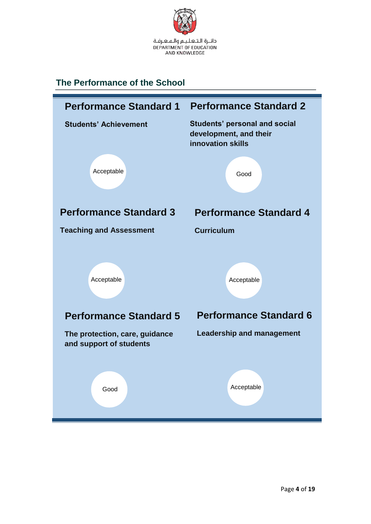

## <span id="page-3-0"></span>**The Performance of the School**

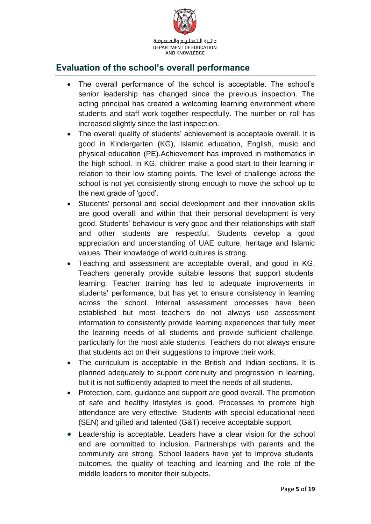

#### <span id="page-4-0"></span>**Evaluation of the school's overall performance**

- The overall performance of the school is acceptable. The school's senior leadership has changed since the previous inspection. The acting principal has created a welcoming learning environment where students and staff work together respectfully. The number on roll has increased slightly since the last inspection.
- The overall quality of students' achievement is acceptable overall. It is good in Kindergarten (KG), Islamic education, English, music and physical education (PE).Achievement has improved in mathematics in the high school. In KG, children make a good start to their learning in relation to their low starting points. The level of challenge across the school is not yet consistently strong enough to move the school up to the next grade of 'good'.
- Students' personal and social development and their innovation skills are good overall, and within that their personal development is very good. Students' behaviour is very good and their relationships with staff and other students are respectful. Students develop a good appreciation and understanding of UAE culture, heritage and Islamic values. Their knowledge of world cultures is strong.
- Teaching and assessment are acceptable overall, and good in KG. Teachers generally provide suitable lessons that support students' learning. Teacher training has led to adequate improvements in students' performance, but has yet to ensure consistency in learning across the school. Internal assessment processes have been established but most teachers do not always use assessment information to consistently provide learning experiences that fully meet the learning needs of all students and provide sufficient challenge, particularly for the most able students. Teachers do not always ensure that students act on their suggestions to improve their work.
- The curriculum is acceptable in the British and Indian sections. It is planned adequately to support continuity and progression in learning, but it is not sufficiently adapted to meet the needs of all students.
- Protection, care, guidance and support are good overall. The promotion of safe and healthy lifestyles is good. Processes to promote high attendance are very effective. Students with special educational need (SEN) and gifted and talented (G&T) receive acceptable support.
- Leadership is acceptable. Leaders have a clear vision for the school and are committed to inclusion. Partnerships with parents and the community are strong. School leaders have yet to improve students' outcomes, the quality of teaching and learning and the role of the middle leaders to monitor their subjects.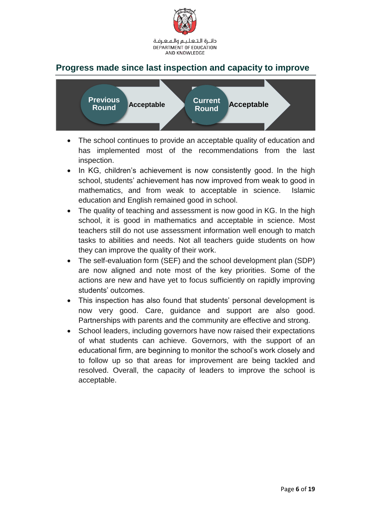

#### <span id="page-5-0"></span>**Progress made since last inspection and capacity to improve**



- The school continues to provide an acceptable quality of education and has implemented most of the recommendations from the last inspection.
- In KG, children's achievement is now consistently good. In the high school, students' achievement has now improved from weak to good in mathematics, and from weak to acceptable in science. Islamic education and English remained good in school.
- The quality of teaching and assessment is now good in KG. In the high school, it is good in mathematics and acceptable in science. Most teachers still do not use assessment information well enough to match tasks to abilities and needs. Not all teachers guide students on how they can improve the quality of their work.
- The self-evaluation form (SEF) and the school development plan (SDP) are now aligned and note most of the key priorities. Some of the actions are new and have yet to focus sufficiently on rapidly improving students' outcomes.
- This inspection has also found that students' personal development is now very good. Care, guidance and support are also good. Partnerships with parents and the community are effective and strong.
- School leaders, including governors have now raised their expectations of what students can achieve. Governors, with the support of an educational firm, are beginning to monitor the school's work closely and to follow up so that areas for improvement are being tackled and resolved. Overall, the capacity of leaders to improve the school is acceptable.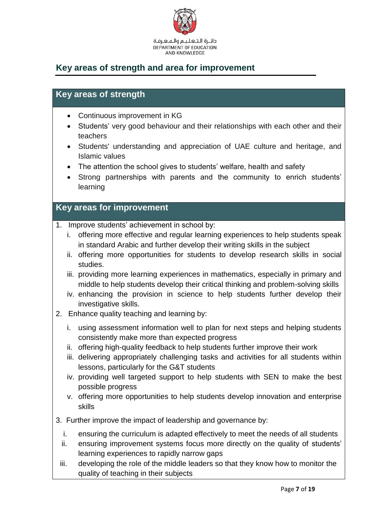

### <span id="page-6-0"></span>**Key areas of strength and area for improvement**

#### **Key areas of strength**

- Continuous improvement in KG
- Students' very good behaviour and their relationships with each other and their teachers
- Students' understanding and appreciation of UAE culture and heritage, and Islamic values
- The attention the school gives to students' welfare, health and safety
- Strong partnerships with parents and the community to enrich students' learning

#### **Key areas for improvement**

- 1. Improve students' achievement in school by:
	- i. offering more effective and regular learning experiences to help students speak in standard Arabic and further develop their writing skills in the subject
	- ii. offering more opportunities for students to develop research skills in social studies.
	- iii. providing more learning experiences in mathematics, especially in primary and middle to help students develop their critical thinking and problem-solving skills
	- iv. enhancing the provision in science to help students further develop their investigative skills.
- 2. Enhance quality teaching and learning by:
	- i. using assessment information well to plan for next steps and helping students consistently make more than expected progress
	- ii. offering high-quality feedback to help students further improve their work
	- iii. delivering appropriately challenging tasks and activities for all students within lessons, particularly for the G&T students
	- iv. providing well targeted support to help students with SEN to make the best possible progress
	- v. offering more opportunities to help students develop innovation and enterprise skills
- 3. Further improve the impact of leadership and governance by:
	- i. ensuring the curriculum is adapted effectively to meet the needs of all students
	- ii. ensuring improvement systems focus more directly on the quality of students' learning experiences to rapidly narrow gaps
	- iii. developing the role of the middle leaders so that they know how to monitor the quality of teaching in their subjects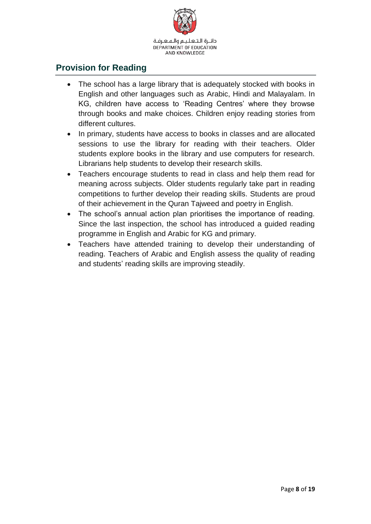

#### <span id="page-7-0"></span>**Provision for Reading**

- The school has a large library that is adequately stocked with books in English and other languages such as Arabic, Hindi and Malayalam. In KG, children have access to 'Reading Centres' where they browse through books and make choices. Children enjoy reading stories from different cultures.
- In primary, students have access to books in classes and are allocated sessions to use the library for reading with their teachers. Older students explore books in the library and use computers for research. Librarians help students to develop their research skills.
- Teachers encourage students to read in class and help them read for meaning across subjects. Older students regularly take part in reading competitions to further develop their reading skills. Students are proud of their achievement in the Quran Tajweed and poetry in English.
- The school's annual action plan prioritises the importance of reading. Since the last inspection, the school has introduced a guided reading programme in English and Arabic for KG and primary.
- Teachers have attended training to develop their understanding of reading. Teachers of Arabic and English assess the quality of reading and students' reading skills are improving steadily.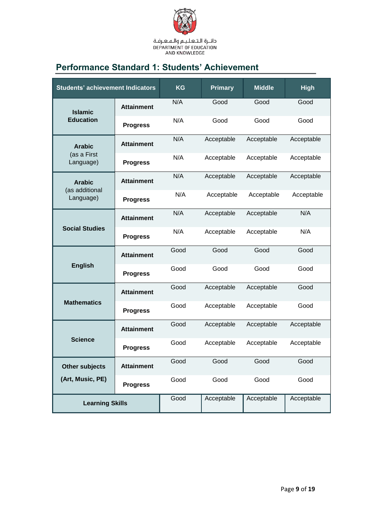

# <span id="page-8-0"></span>**Performance Standard 1: Students' Achievement**

| <b>Students' achievement Indicators</b> |                   | <b>KG</b> | <b>Primary</b> | <b>Middle</b> | <b>High</b> |
|-----------------------------------------|-------------------|-----------|----------------|---------------|-------------|
| <b>Islamic</b>                          | <b>Attainment</b> | N/A       | Good           | Good          | Good        |
| <b>Education</b>                        | <b>Progress</b>   | N/A       | Good           | Good          | Good        |
| <b>Arabic</b>                           | <b>Attainment</b> | N/A       | Acceptable     | Acceptable    | Acceptable  |
| (as a First<br>Language)                | <b>Progress</b>   | N/A       | Acceptable     | Acceptable    | Acceptable  |
| <b>Arabic</b>                           | <b>Attainment</b> | N/A       | Acceptable     | Acceptable    | Acceptable  |
| (as additional<br>Language)             | <b>Progress</b>   | N/A       | Acceptable     | Acceptable    | Acceptable  |
| <b>Social Studies</b>                   | <b>Attainment</b> | N/A       | Acceptable     | Acceptable    | N/A         |
|                                         | <b>Progress</b>   | N/A       | Acceptable     | Acceptable    | N/A         |
| <b>English</b>                          | <b>Attainment</b> | Good      | Good           | Good          | Good        |
|                                         | <b>Progress</b>   | Good      | Good           | Good          | Good        |
|                                         | <b>Attainment</b> | Good      | Acceptable     | Acceptable    | Good        |
| <b>Mathematics</b>                      | <b>Progress</b>   | Good      | Acceptable     | Acceptable    | Good        |
|                                         | <b>Attainment</b> | Good      | Acceptable     | Acceptable    | Acceptable  |
| <b>Science</b>                          | <b>Progress</b>   | Good      | Acceptable     | Acceptable    | Acceptable  |
| <b>Other subjects</b>                   | <b>Attainment</b> | Good      | Good           | Good          | Good        |
| (Art, Music, PE)                        | <b>Progress</b>   | Good      | Good           | Good          | Good        |
| <b>Learning Skills</b>                  |                   | Good      | Acceptable     | Acceptable    | Acceptable  |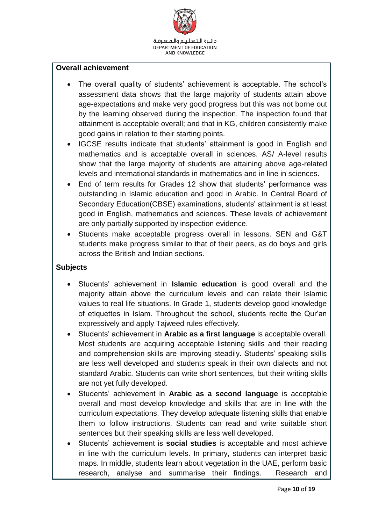

#### **Overall achievement**

- The overall quality of students' achievement is acceptable. The school's assessment data shows that the large majority of students attain above age-expectations and make very good progress but this was not borne out by the learning observed during the inspection. The inspection found that attainment is acceptable overall; and that in KG, children consistently make good gains in relation to their starting points.
- IGCSE results indicate that students' attainment is good in English and mathematics and is acceptable overall in sciences. AS/ A-level results show that the large majority of students are attaining above age-related levels and international standards in mathematics and in line in sciences.
- End of term results for Grades 12 show that students' performance was outstanding in Islamic education and good in Arabic. In Central Board of Secondary Education(CBSE) examinations, students' attainment is at least good in English, mathematics and sciences. These levels of achievement are only partially supported by inspection evidence.
- Students make acceptable progress overall in lessons. SEN and G&T students make progress similar to that of their peers, as do boys and girls across the British and Indian sections.

#### **Subjects**

- Students' achievement in **Islamic education** is good overall and the majority attain above the curriculum levels and can relate their Islamic values to real life situations. In Grade 1, students develop good knowledge of etiquettes in Islam. Throughout the school, students recite the Qur'an expressively and apply Tajweed rules effectively.
- Students' achievement in **Arabic as a first language** is acceptable overall. Most students are acquiring acceptable listening skills and their reading and comprehension skills are improving steadily. Students' speaking skills are less well developed and students speak in their own dialects and not standard Arabic. Students can write short sentences, but their writing skills are not yet fully developed.
- Students' achievement in **Arabic as a second language** is acceptable overall and most develop knowledge and skills that are in line with the curriculum expectations. They develop adequate listening skills that enable them to follow instructions. Students can read and write suitable short sentences but their speaking skills are less well developed.
- Students' achievement is **social studies** is acceptable and most achieve in line with the curriculum levels. In primary, students can interpret basic maps. In middle, students learn about vegetation in the UAE, perform basic research, analyse and summarise their findings. Research and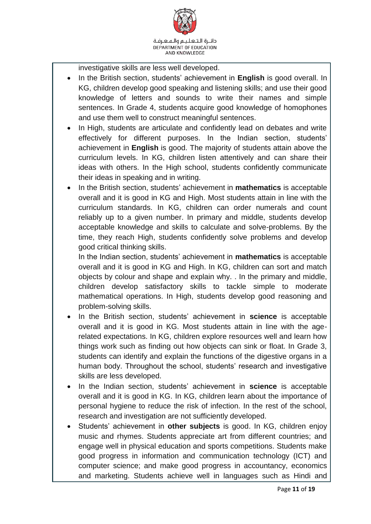

investigative skills are less well developed.

- In the British section, students' achievement in **English** is good overall. In KG, children develop good speaking and listening skills; and use their good knowledge of letters and sounds to write their names and simple sentences. In Grade 4, students acquire good knowledge of homophones and use them well to construct meaningful sentences.
- In High, students are articulate and confidently lead on debates and write effectively for different purposes. In the Indian section, students' achievement in **English** is good. The majority of students attain above the curriculum levels. In KG, children listen attentively and can share their ideas with others. In the High school, students confidently communicate their ideas in speaking and in writing.
- In the British section, students' achievement in **mathematics** is acceptable overall and it is good in KG and High. Most students attain in line with the curriculum standards. In KG, children can order numerals and count reliably up to a given number. In primary and middle, students develop acceptable knowledge and skills to calculate and solve-problems. By the time, they reach High, students confidently solve problems and develop good critical thinking skills.

In the Indian section, students' achievement in **mathematics** is acceptable overall and it is good in KG and High. In KG, children can sort and match objects by colour and shape and explain why. . In the primary and middle, children develop satisfactory skills to tackle simple to moderate mathematical operations. In High, students develop good reasoning and problem-solving skills.

- In the British section, students' achievement in **science** is acceptable overall and it is good in KG. Most students attain in line with the agerelated expectations. In KG, children explore resources well and learn how things work such as finding out how objects can sink or float. In Grade 3, students can identify and explain the functions of the digestive organs in a human body. Throughout the school, students' research and investigative skills are less developed.
- In the Indian section, students' achievement in **science** is acceptable overall and it is good in KG. In KG, children learn about the importance of personal hygiene to reduce the risk of infection. In the rest of the school, research and investigation are not sufficiently developed.
- Students' achievement in **other subjects** is good. In KG, children enjoy music and rhymes. Students appreciate art from different countries; and engage well in physical education and sports competitions. Students make good progress in information and communication technology (ICT) and computer science; and make good progress in accountancy, economics and marketing. Students achieve well in languages such as Hindi and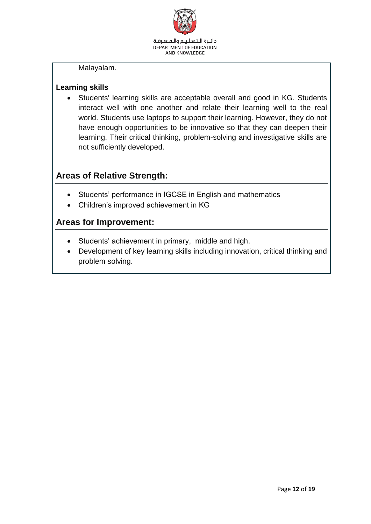

Malayalam.

#### **Learning skills**

 Students' learning skills are acceptable overall and good in KG. Students interact well with one another and relate their learning well to the real world. Students use laptops to support their learning. However, they do not have enough opportunities to be innovative so that they can deepen their learning. Their critical thinking, problem-solving and investigative skills are not sufficiently developed.

### **Areas of Relative Strength:**

- Students' performance in IGCSE in English and mathematics
- Children's improved achievement in KG

- Students' achievement in primary, middle and high.
- Development of key learning skills including innovation, critical thinking and problem solving.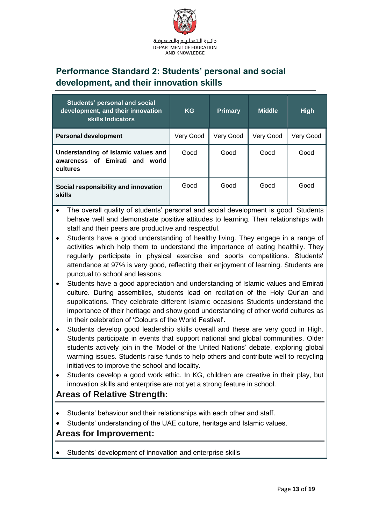

## <span id="page-12-0"></span>**Performance Standard 2: Students' personal and social development, and their innovation skills**

| Students' personal and social<br>development, and their innovation<br>skills Indicators | <b>KG</b> | <b>Primary</b> | <b>Middle</b> | <b>High</b> |
|-----------------------------------------------------------------------------------------|-----------|----------------|---------------|-------------|
| <b>Personal development</b>                                                             | Very Good | Very Good      | Very Good     | Very Good   |
| Understanding of Islamic values and<br>awareness of Emirati and<br>world<br>cultures    | Good      | Good           | Good          | Good        |
| Social responsibility and innovation<br>skills                                          | Good      | Good           | Good          | Good        |

- The overall quality of students' personal and social development is good. Students behave well and demonstrate positive attitudes to learning. Their relationships with staff and their peers are productive and respectful.
- Students have a good understanding of healthy living. They engage in a range of activities which help them to understand the importance of eating healthily. They regularly participate in physical exercise and sports competitions. Students' attendance at 97% is very good, reflecting their enjoyment of learning. Students are punctual to school and lessons.
- Students have a good appreciation and understanding of Islamic values and Emirati culture. During assemblies, students lead on recitation of the Holy Qur'an and supplications. They celebrate different Islamic occasions Students understand the importance of their heritage and show good understanding of other world cultures as in their celebration of 'Colours of the World Festival'.
- Students develop good leadership skills overall and these are very good in High. Students participate in events that support national and global communities. Older students actively join in the 'Model of the United Nations' debate, exploring global warming issues. Students raise funds to help others and contribute well to recycling initiatives to improve the school and locality.
- Students develop a good work ethic. In KG, children are creative in their play, but innovation skills and enterprise are not yet a strong feature in school.

#### **Areas of Relative Strength:**

- Students' behaviour and their relationships with each other and staff.
- Students' understanding of the UAE culture, heritage and Islamic values.

#### **Areas for Improvement:**

Students' development of innovation and enterprise skills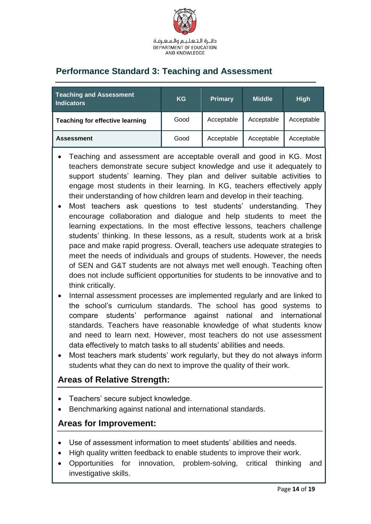

## <span id="page-13-0"></span>**Performance Standard 3: Teaching and Assessment**

| <b>Teaching and Assessment</b><br><b>Indicators</b> | <b>KG</b> | <b>Primary</b> | <b>Middle</b> | <b>High</b> |
|-----------------------------------------------------|-----------|----------------|---------------|-------------|
| <b>Teaching for effective learning</b>              | Good      | Acceptable     | Acceptable    | Acceptable  |
| <b>Assessment</b>                                   | Good      | Acceptable     | Acceptable    | Acceptable  |

- Teaching and assessment are acceptable overall and good in KG. Most teachers demonstrate secure subject knowledge and use it adequately to support students' learning. They plan and deliver suitable activities to engage most students in their learning. In KG, teachers effectively apply their understanding of how children learn and develop in their teaching.
- Most teachers ask questions to test students' understanding. They encourage collaboration and dialogue and help students to meet the learning expectations. In the most effective lessons, teachers challenge students' thinking. In these lessons, as a result, students work at a brisk pace and make rapid progress. Overall, teachers use adequate strategies to meet the needs of individuals and groups of students. However, the needs of SEN and G&T students are not always met well enough. Teaching often does not include sufficient opportunities for students to be innovative and to think critically.
- Internal assessment processes are implemented regularly and are linked to the school's curriculum standards. The school has good systems to compare students' performance against national and international standards. Teachers have reasonable knowledge of what students know and need to learn next. However, most teachers do not use assessment data effectively to match tasks to all students' abilities and needs.
- Most teachers mark students' work regularly, but they do not always inform students what they can do next to improve the quality of their work.

#### **Areas of Relative Strength:**

- Teachers' secure subject knowledge.
- Benchmarking against national and international standards.

- Use of assessment information to meet students' abilities and needs.
- High quality written feedback to enable students to improve their work.
- Opportunities for innovation, problem-solving, critical thinking and investigative skills.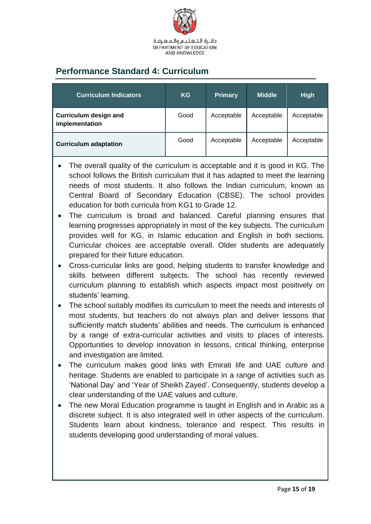

## <span id="page-14-0"></span>**Performance Standard 4: Curriculum**

| <b>Curriculum Indicators</b>                   | <b>KG</b> | <b>Primary</b> | <b>Middle</b> | <b>High</b> |
|------------------------------------------------|-----------|----------------|---------------|-------------|
| <b>Curriculum design and</b><br>implementation | Good      | Acceptable     | Acceptable    | Acceptable  |
| <b>Curriculum adaptation</b>                   | Good      | Acceptable     | Acceptable    | Acceptable  |

- The overall quality of the curriculum is acceptable and it is good in KG. The school follows the British curriculum that it has adapted to meet the learning needs of most students. It also follows the Indian curriculum, known as Central Board of Secondary Education (CBSE). The school provides education for both curricula from KG1 to Grade 12.
- The curriculum is broad and balanced. Careful planning ensures that learning progresses appropriately in most of the key subjects. The curriculum provides well for KG, in Islamic education and English in both sections. Curricular choices are acceptable overall. Older students are adequately prepared for their future education.
- Cross-curricular links are good, helping students to transfer knowledge and skills between different subjects. The school has recently reviewed curriculum planning to establish which aspects impact most positively on students' learning.
- The school suitably modifies its curriculum to meet the needs and interests of most students, but teachers do not always plan and deliver lessons that sufficiently match students' abilities and needs. The curriculum is enhanced by a range of extra-curricular activities and visits to places of interests. Opportunities to develop innovation in lessons, critical thinking, enterprise and investigation are limited.
- The curriculum makes good links with Emirati life and UAE culture and heritage. Students are enabled to participate in a range of activities such as 'National Day' and 'Year of Sheikh Zayed'. Consequently, students develop a clear understanding of the UAE values and culture.
- The new Moral Education programme is taught in English and in Arabic as a discrete subject. It is also integrated well in other aspects of the curriculum. Students learn about kindness, tolerance and respect. This results in students developing good understanding of moral values.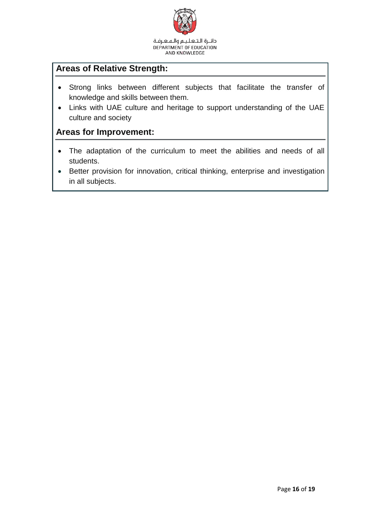

دائـرة الـتـعـلـيـم والـمـعـرفـة DEPARTMENT OF EDUCATION AND KNOWLEDGE

#### **Areas of Relative Strength:**

- Strong links between different subjects that facilitate the transfer of knowledge and skills between them.
- Links with UAE culture and heritage to support understanding of the UAE culture and society

- The adaptation of the curriculum to meet the abilities and needs of all students.
- Better provision for innovation, critical thinking, enterprise and investigation in all subjects.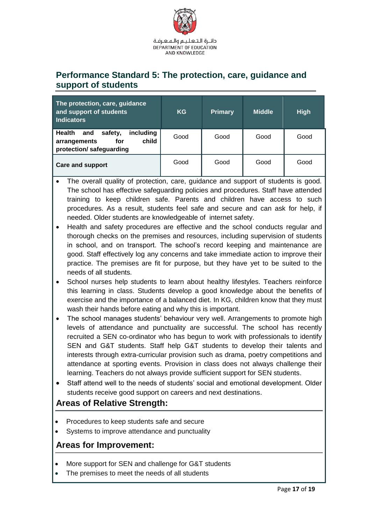

#### <span id="page-16-0"></span>**Performance Standard 5: The protection, care, guidance and support of students**

| The protection, care, guidance<br>and support of students<br><b>Indicators</b>                          | <b>KG</b> | <b>Primary</b> | <b>Middle</b> | <b>High</b> |
|---------------------------------------------------------------------------------------------------------|-----------|----------------|---------------|-------------|
| including<br><b>Health</b><br>safety,<br>and<br>child<br>arrangements<br>for<br>protection/safeguarding | Good      | Good           | Good          | Good        |
| <b>Care and support</b>                                                                                 | Good      | Good           | Good          | Good        |

- The overall quality of protection, care, guidance and support of students is good. The school has effective safeguarding policies and procedures. Staff have attended training to keep children safe. Parents and children have access to such procedures. As a result, students feel safe and secure and can ask for help, if needed. Older students are knowledgeable of internet safety.
- Health and safety procedures are effective and the school conducts regular and thorough checks on the premises and resources, including supervision of students in school, and on transport. The school's record keeping and maintenance are good. Staff effectively log any concerns and take immediate action to improve their practice. The premises are fit for purpose, but they have yet to be suited to the needs of all students.
- School nurses help students to learn about healthy lifestyles. Teachers reinforce this learning in class. Students develop a good knowledge about the benefits of exercise and the importance of a balanced diet. In KG, children know that they must wash their hands before eating and why this is important.
- The school manages students' behaviour very well. Arrangements to promote high levels of attendance and punctuality are successful. The school has recently recruited a SEN co-ordinator who has begun to work with professionals to identify SEN and G&T students. Staff help G&T students to develop their talents and interests through extra-curricular provision such as drama, poetry competitions and attendance at sporting events. Provision in class does not always challenge their learning. Teachers do not always provide sufficient support for SEN students.
- Staff attend well to the needs of students' social and emotional development. Older students receive good support on careers and next destinations.

#### **Areas of Relative Strength:**

- Procedures to keep students safe and secure
- Systems to improve attendance and punctuality

- More support for SEN and challenge for G&T students
- The premises to meet the needs of all students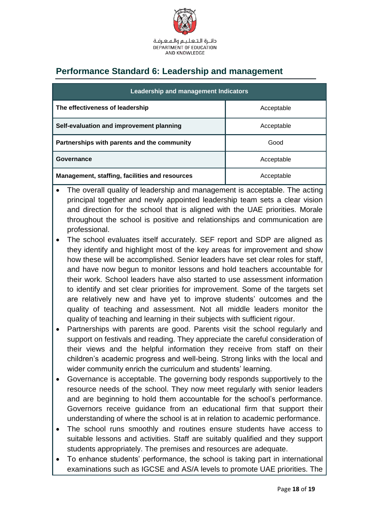

## <span id="page-17-0"></span>**Performance Standard 6: Leadership and management**

| Leadership and management Indicators           |            |  |  |  |
|------------------------------------------------|------------|--|--|--|
| The effectiveness of leadership                | Acceptable |  |  |  |
| Self-evaluation and improvement planning       | Acceptable |  |  |  |
| Partnerships with parents and the community    | Good       |  |  |  |
| Governance                                     | Acceptable |  |  |  |
| Management, staffing, facilities and resources | Acceptable |  |  |  |

- The overall quality of leadership and management is acceptable. The acting principal together and newly appointed leadership team sets a clear vision and direction for the school that is aligned with the UAE priorities. Morale throughout the school is positive and relationships and communication are professional.
- The school evaluates itself accurately. SEF report and SDP are aligned as they identify and highlight most of the key areas for improvement and show how these will be accomplished. Senior leaders have set clear roles for staff, and have now begun to monitor lessons and hold teachers accountable for their work. School leaders have also started to use assessment information to identify and set clear priorities for improvement. Some of the targets set are relatively new and have yet to improve students' outcomes and the quality of teaching and assessment. Not all middle leaders monitor the quality of teaching and learning in their subjects with sufficient rigour.
- Partnerships with parents are good. Parents visit the school regularly and support on festivals and reading. They appreciate the careful consideration of their views and the helpful information they receive from staff on their children's academic progress and well-being. Strong links with the local and wider community enrich the curriculum and students' learning.
- Governance is acceptable. The governing body responds supportively to the resource needs of the school. They now meet regularly with senior leaders and are beginning to hold them accountable for the school's performance. Governors receive guidance from an educational firm that support their understanding of where the school is at in relation to academic performance.
- The school runs smoothly and routines ensure students have access to suitable lessons and activities. Staff are suitably qualified and they support students appropriately. The premises and resources are adequate.
- To enhance students' performance, the school is taking part in international examinations such as IGCSE and AS/A levels to promote UAE priorities. The